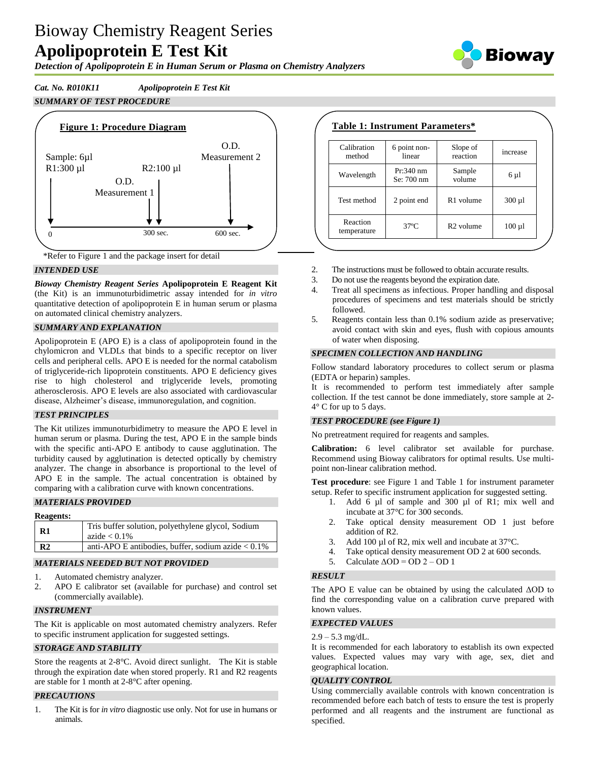# Bioway Chemistry Reagent Series **Apolipoprotein E Test Kit**

*Detection of Apolipoprotein E in Human Serum or Plasma on Chemistry Analyzers*

*Cat. No. R010K11 Apolipoprotein E Test Kit SUMMARY OF TEST PROCEDURE*



\*Refer to Figure 1 and the package insert for detail

#### *INTENDED USE*

*Bioway Chemistry Reagent Series* **Apolipoprotein E Reagent Kit**  (the Kit) is an immunoturbidimetric assay intended for *in vitro* quantitative detection of apolipoprotein E in human serum or plasma on automated clinical chemistry analyzers.

#### *SUMMARY AND EXPLANATION*

Apolipoprotein E (APO E) is a class of apolipoprotein found in the chylomicron and VLDLs that binds to a specific receptor on liver cells and peripheral cells. APO E is needed for the normal catabolism of triglyceride-rich lipoprotein constituents. APO E deficiency gives rise to high cholesterol and triglyceride levels, promoting atherosclerosis. APO E levels are also associated with cardiovascular disease, Alzheimer's disease, immunoregulation, and cognition.

#### *TEST PRINCIPLES*

The Kit utilizes immunoturbidimetry to measure the APO E level in human serum or plasma. During the test, APO E in the sample binds with the specific anti-APO E antibody to cause agglutination. The turbidity caused by agglutination is detected optically by chemistry analyzer. The change in absorbance is proportional to the level of APO E in the sample. The actual concentration is obtained by comparing with a calibration curve with known concentrations.

## *MATERIALS PROVIDED*

| <b>Reagents:</b> |                                                                      |
|------------------|----------------------------------------------------------------------|
| $\mathbf{R}1$    | Tris buffer solution, polyethylene glycol, Sodium<br>azide $< 0.1\%$ |
| R <sub>2</sub>   | anti-APO E antibodies, buffer, sodium azide $< 0.1\%$                |

## *MATERIALS NEEDED BUT NOT PROVIDED*

- 1. Automated chemistry analyzer.
- 2. APO E calibrator set (available for purchase) and control set (commercially available).

#### *INSTRUMENT*

The Kit is applicable on most automated chemistry analyzers. Refer to specific instrument application for suggested settings.

## *STORAGE AND STABILITY*

Store the reagents at 2-8°C. Avoid direct sunlight. The Kit is stable through the expiration date when stored properly. R1 and R2 reagents are stable for 1 month at 2-8°C after opening.

#### *PRECAUTIONS*

1. The Kit is for *in vitro* diagnostic use only. Not for use in humans or animals.

# **Table 1: Instrument Parameters\***

| Calibration<br>method   | 6 point non-<br>linear    | Slope of<br>reaction  | increase    |
|-------------------------|---------------------------|-----------------------|-------------|
| Wavelength              | $Pr:340$ nm<br>Se: 700 nm | Sample<br>volume      | $6 \mu l$   |
| Test method             | 2 point end               | R <sub>1</sub> volume | $300 \mu l$ |
| Reaction<br>temperature | $37^{\circ}$ C            | R <sub>2</sub> volume | $100 \mu l$ |

- 2. The instructions must be followed to obtain accurate results.
- 3. Do not use the reagents beyond the expiration date.
- 4. Treat all specimens as infectious. Proper handling and disposal procedures of specimens and test materials should be strictly followed.
- 5. Reagents contain less than 0.1% sodium azide as preservative; avoid contact with skin and eyes, flush with copious amounts of water when disposing.

#### *SPECIMEN COLLECTION AND HANDLING*

Follow standard laboratory procedures to collect serum or plasma (EDTA or heparin) samples.

It is recommended to perform test immediately after sample collection. If the test cannot be done immediately, store sample at 2- 4° C for up to 5 days.

#### *TEST PROCEDURE (see Figure 1)*

No pretreatment required for reagents and samples.

**Calibration:** 6 level calibrator set available for purchase. Recommend using Bioway calibrators for optimal results. Use multipoint non-linear calibration method.

**Test procedure**: see Figure 1 and Table 1 for instrument parameter setup. Refer to specific instrument application for suggested setting.

- 1. Add 6 µl of sample and 300 µl of R1; mix well and incubate at 37°C for 300 seconds.
- 2. Take optical density measurement OD 1 just before addition of R2.
- 3. Add 100 µl of R2, mix well and incubate at 37 °C.
- 4. Take optical density measurement OD 2 at 600 seconds.
- 5. Calculate  $\triangle$ OD = OD 2 OD 1

#### *RESULT*

The APO E value can be obtained by using the calculated ΔOD to find the corresponding value on a calibration curve prepared with known values.

#### *EXPECTED VALUES*

#### $2.9 - 5.3$  mg/dL.

It is recommended for each laboratory to establish its own expected values. Expected values may vary with age, sex, diet and geographical location.

#### *QUALITY CONTROL*

Using commercially available controls with known concentration is recommended before each batch of tests to ensure the test is properly performed and all reagents and the instrument are functional as specified.